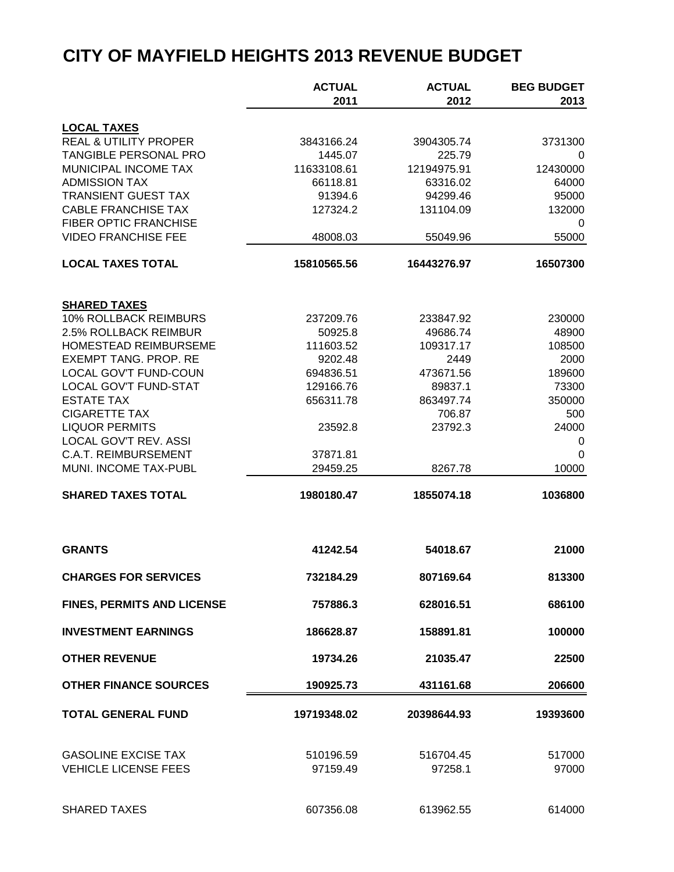|                                                     | <b>ACTUAL</b>          | <b>ACTUAL</b>        | <b>BEG BUDGET</b> |
|-----------------------------------------------------|------------------------|----------------------|-------------------|
|                                                     | 2011                   | 2012                 | 2013              |
| <b>LOCAL TAXES</b>                                  |                        |                      |                   |
| <b>REAL &amp; UTILITY PROPER</b>                    | 3843166.24             | 3904305.74           | 3731300           |
| TANGIBLE PERSONAL PRO                               | 1445.07                | 225.79               | 0                 |
| MUNICIPAL INCOME TAX                                | 11633108.61            | 12194975.91          | 12430000          |
| <b>ADMISSION TAX</b>                                | 66118.81               | 63316.02             | 64000             |
| <b>TRANSIENT GUEST TAX</b>                          | 91394.6                | 94299.46             | 95000             |
| <b>CABLE FRANCHISE TAX</b>                          | 127324.2               | 131104.09            | 132000            |
| FIBER OPTIC FRANCHISE                               |                        |                      | 0                 |
| <b>VIDEO FRANCHISE FEE</b>                          | 48008.03               | 55049.96             | 55000             |
| <b>LOCAL TAXES TOTAL</b>                            | 15810565.56            | 16443276.97          | 16507300          |
|                                                     |                        |                      |                   |
| <b>SHARED TAXES</b><br><b>10% ROLLBACK REIMBURS</b> |                        |                      |                   |
|                                                     | 237209.76              | 233847.92            | 230000            |
| 2.5% ROLLBACK REIMBUR                               | 50925.8                | 49686.74             | 48900             |
| HOMESTEAD REIMBURSEME                               | 111603.52              | 109317.17            | 108500            |
| <b>EXEMPT TANG. PROP. RE</b>                        | 9202.48                | 2449                 | 2000              |
| LOCAL GOV'T FUND-COUN                               | 694836.51              | 473671.56            | 189600            |
| <b>LOCAL GOV'T FUND-STAT</b><br><b>ESTATE TAX</b>   | 129166.76<br>656311.78 | 89837.1<br>863497.74 | 73300             |
| <b>CIGARETTE TAX</b>                                |                        | 706.87               | 350000<br>500     |
| <b>LIQUOR PERMITS</b>                               | 23592.8                | 23792.3              | 24000             |
| LOCAL GOV'T REV. ASSI                               |                        |                      | 0                 |
| <b>C.A.T. REIMBURSEMENT</b>                         | 37871.81               |                      | 0                 |
| MUNI. INCOME TAX-PUBL                               | 29459.25               | 8267.78              | 10000             |
| <b>SHARED TAXES TOTAL</b>                           | 1980180.47             | 1855074.18           | 1036800           |
|                                                     |                        |                      |                   |
| <b>GRANTS</b>                                       | 41242.54               | 54018.67             | 21000             |
| <b>CHARGES FOR SERVICES</b>                         | 732184.29              | 807169.64            | 813300            |
|                                                     |                        |                      |                   |
| FINES, PERMITS AND LICENSE                          | 757886.3               | 628016.51            | 686100            |
| <b>INVESTMENT EARNINGS</b>                          | 186628.87              | 158891.81            | 100000            |
| <b>OTHER REVENUE</b>                                | 19734.26               | 21035.47             | 22500             |
| <b>OTHER FINANCE SOURCES</b>                        | 190925.73              | 431161.68            | 206600            |
| <b>TOTAL GENERAL FUND</b>                           | 19719348.02            | 20398644.93          | 19393600          |
| <b>GASOLINE EXCISE TAX</b>                          | 510196.59              | 516704.45            | 517000            |
| <b>VEHICLE LICENSE FEES</b>                         | 97159.49               | 97258.1              | 97000             |
| <b>SHARED TAXES</b>                                 | 607356.08              | 613962.55            | 614000            |
|                                                     |                        |                      |                   |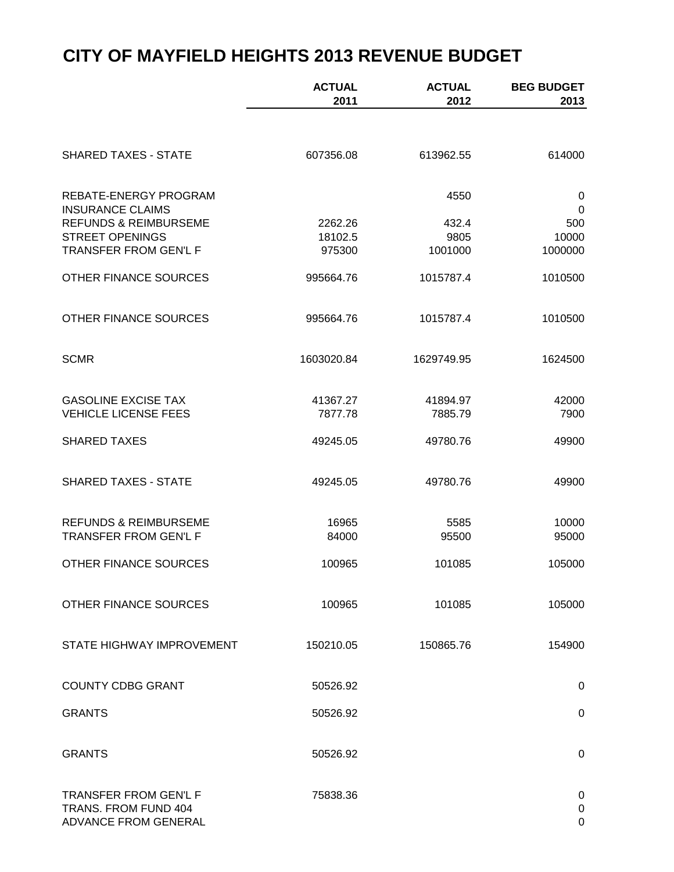|                                                                              | <b>ACTUAL</b><br>2011 | <b>ACTUAL</b><br>2012 | <b>BEG BUDGET</b><br>2013 |
|------------------------------------------------------------------------------|-----------------------|-----------------------|---------------------------|
|                                                                              |                       |                       |                           |
| <b>SHARED TAXES - STATE</b>                                                  | 607356.08             | 613962.55             | 614000                    |
| REBATE-ENERGY PROGRAM<br><b>INSURANCE CLAIMS</b>                             |                       | 4550                  | 0<br>$\mathbf 0$          |
| <b>REFUNDS &amp; REIMBURSEME</b>                                             | 2262.26               | 432.4                 | 500                       |
| <b>STREET OPENINGS</b>                                                       | 18102.5               | 9805                  | 10000                     |
| TRANSFER FROM GEN'L F                                                        | 975300                | 1001000               | 1000000                   |
| OTHER FINANCE SOURCES                                                        | 995664.76             | 1015787.4             | 1010500                   |
| OTHER FINANCE SOURCES                                                        | 995664.76             | 1015787.4             | 1010500                   |
| <b>SCMR</b>                                                                  | 1603020.84            | 1629749.95            | 1624500                   |
| <b>GASOLINE EXCISE TAX</b>                                                   | 41367.27              | 41894.97              | 42000                     |
| <b>VEHICLE LICENSE FEES</b>                                                  | 7877.78               | 7885.79               | 7900                      |
| <b>SHARED TAXES</b>                                                          | 49245.05              | 49780.76              | 49900                     |
| <b>SHARED TAXES - STATE</b>                                                  | 49245.05              | 49780.76              | 49900                     |
| <b>REFUNDS &amp; REIMBURSEME</b>                                             | 16965                 | 5585                  | 10000                     |
| TRANSFER FROM GEN'L F                                                        | 84000                 | 95500                 | 95000                     |
| OTHER FINANCE SOURCES                                                        | 100965                | 101085                | 105000                    |
| <b>OTHER FINANCE SOURCES</b>                                                 | 100965                | 101085                | 105000                    |
| STATE HIGHWAY IMPROVEMENT                                                    | 150210.05             | 150865.76             | 154900                    |
| <b>COUNTY CDBG GRANT</b>                                                     | 50526.92              |                       | 0                         |
| <b>GRANTS</b>                                                                | 50526.92              |                       | 0                         |
|                                                                              |                       |                       |                           |
| <b>GRANTS</b>                                                                | 50526.92              |                       | 0                         |
| <b>TRANSFER FROM GEN'L F</b><br>TRANS. FROM FUND 404<br>ADVANCE FROM GENERAL | 75838.36              |                       | 0<br>0<br>$\Omega$        |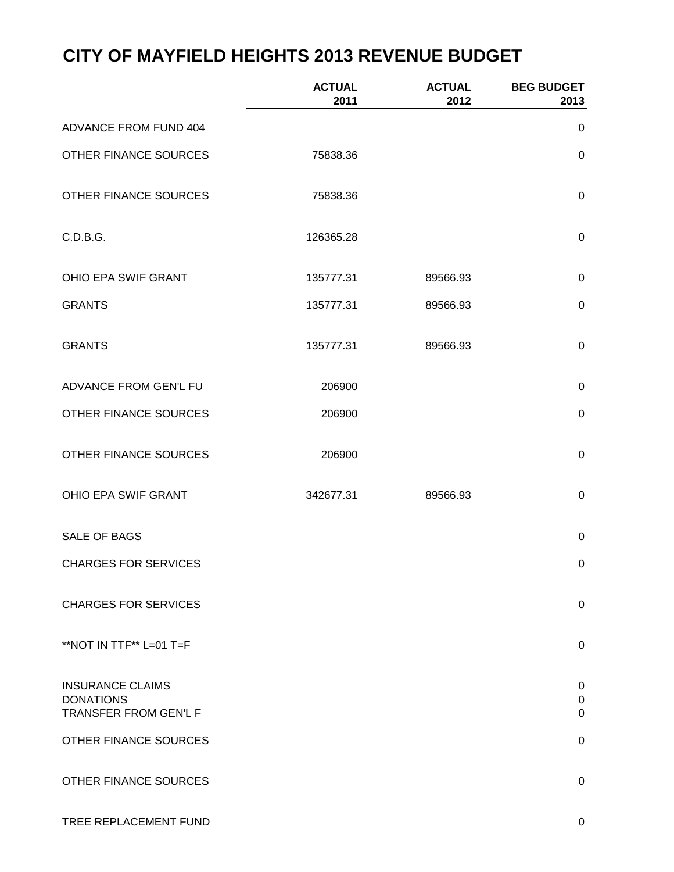|                                                                      | <b>ACTUAL</b><br>2011 | <b>ACTUAL</b><br>2012 | <b>BEG BUDGET</b><br>2013                  |
|----------------------------------------------------------------------|-----------------------|-----------------------|--------------------------------------------|
| ADVANCE FROM FUND 404                                                |                       |                       | 0                                          |
| OTHER FINANCE SOURCES                                                | 75838.36              |                       | $\mathbf 0$                                |
| OTHER FINANCE SOURCES                                                | 75838.36              |                       | $\mathbf 0$                                |
| C.D.B.G.                                                             | 126365.28             |                       | $\mathbf 0$                                |
| OHIO EPA SWIF GRANT                                                  | 135777.31             | 89566.93              | $\pmb{0}$                                  |
| <b>GRANTS</b>                                                        | 135777.31             | 89566.93              | $\mathbf 0$                                |
| <b>GRANTS</b>                                                        | 135777.31             | 89566.93              | $\mathbf 0$                                |
| ADVANCE FROM GEN'L FU                                                | 206900                |                       | $\pmb{0}$                                  |
| OTHER FINANCE SOURCES                                                | 206900                |                       | $\boldsymbol{0}$                           |
| OTHER FINANCE SOURCES                                                | 206900                |                       | $\pmb{0}$                                  |
| OHIO EPA SWIF GRANT                                                  | 342677.31             | 89566.93              | $\pmb{0}$                                  |
| SALE OF BAGS                                                         |                       |                       | $\mathbf 0$                                |
| <b>CHARGES FOR SERVICES</b>                                          |                       |                       | $\boldsymbol{0}$                           |
| <b>CHARGES FOR SERVICES</b>                                          |                       |                       | 0                                          |
| **NOT IN TTF** L=01 T=F                                              |                       |                       | 0                                          |
| <b>INSURANCE CLAIMS</b><br><b>DONATIONS</b><br>TRANSFER FROM GEN'L F |                       |                       | $\mathbf 0$<br>$\pmb{0}$<br>$\overline{0}$ |
| OTHER FINANCE SOURCES                                                |                       |                       | 0                                          |
| OTHER FINANCE SOURCES                                                |                       |                       | 0                                          |
| TREE REPLACEMENT FUND                                                |                       |                       | 0                                          |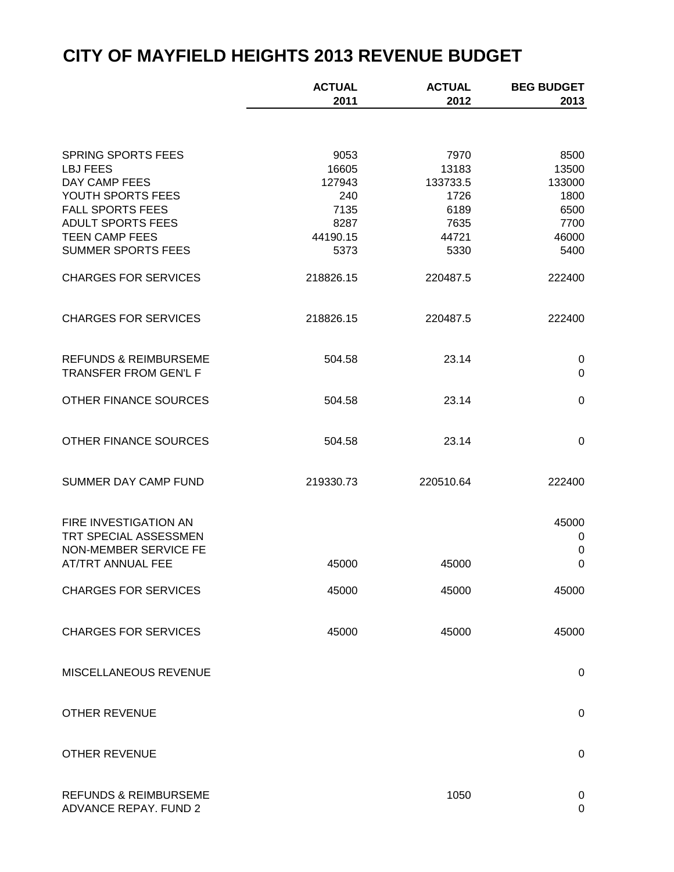|                                                           | <b>ACTUAL</b> | <b>ACTUAL</b> | <b>BEG BUDGET</b> |
|-----------------------------------------------------------|---------------|---------------|-------------------|
|                                                           | 2011          | 2012          | 2013              |
|                                                           |               |               |                   |
| <b>SPRING SPORTS FEES</b>                                 | 9053          | 7970          | 8500              |
| <b>LBJ FEES</b>                                           | 16605         | 13183         | 13500             |
| DAY CAMP FEES                                             | 127943        | 133733.5      | 133000            |
| YOUTH SPORTS FEES                                         | 240           | 1726          | 1800              |
| <b>FALL SPORTS FEES</b>                                   | 7135          | 6189          | 6500              |
| <b>ADULT SPORTS FEES</b>                                  | 8287          | 7635          | 7700              |
| <b>TEEN CAMP FEES</b>                                     | 44190.15      | 44721         | 46000             |
| <b>SUMMER SPORTS FEES</b>                                 | 5373          | 5330          | 5400              |
| <b>CHARGES FOR SERVICES</b>                               | 218826.15     | 220487.5      | 222400            |
| <b>CHARGES FOR SERVICES</b>                               | 218826.15     | 220487.5      | 222400            |
| <b>REFUNDS &amp; REIMBURSEME</b><br>TRANSFER FROM GEN'L F | 504.58        | 23.14         | 0<br>$\mathbf 0$  |
|                                                           |               |               |                   |
| OTHER FINANCE SOURCES                                     | 504.58        | 23.14         | $\pmb{0}$         |
| OTHER FINANCE SOURCES                                     | 504.58        | 23.14         | 0                 |
| SUMMER DAY CAMP FUND                                      | 219330.73     | 220510.64     | 222400            |
|                                                           |               |               |                   |
| FIRE INVESTIGATION AN                                     |               |               | 45000             |
| TRT SPECIAL ASSESSMEN                                     |               |               | 0                 |
| NON-MEMBER SERVICE FE                                     |               |               | $\pmb{0}$         |
| AT/TRT ANNUAL FEE                                         | 45000         | 45000         | $\mathbf 0$       |
| <b>CHARGES FOR SERVICES</b>                               | 45000         | 45000         | 45000             |
| <b>CHARGES FOR SERVICES</b>                               | 45000         | 45000         | 45000             |
| MISCELLANEOUS REVENUE                                     |               |               | 0                 |
| <b>OTHER REVENUE</b>                                      |               |               | 0                 |
|                                                           |               |               |                   |
| <b>OTHER REVENUE</b>                                      |               |               | 0                 |
| <b>REFUNDS &amp; REIMBURSEME</b><br>ADVANCE REPAY. FUND 2 |               | 1050          | 0<br>0            |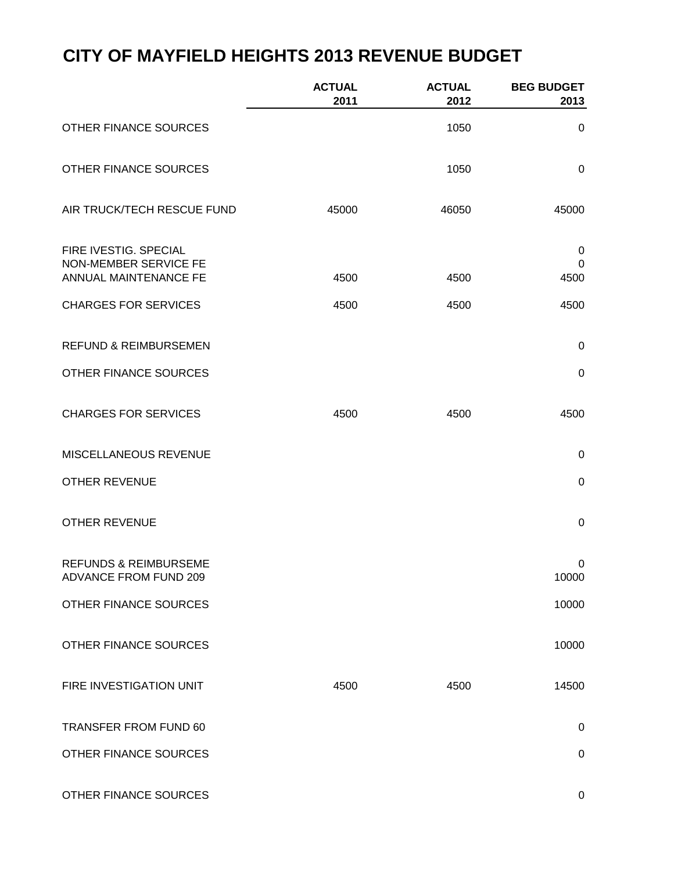|                                                                         | <b>ACTUAL</b><br>2011 | <b>ACTUAL</b><br>2012 | <b>BEG BUDGET</b><br>2013 |
|-------------------------------------------------------------------------|-----------------------|-----------------------|---------------------------|
| OTHER FINANCE SOURCES                                                   |                       | 1050                  | 0                         |
| OTHER FINANCE SOURCES                                                   |                       | 1050                  | $\mathbf 0$               |
| AIR TRUCK/TECH RESCUE FUND                                              | 45000                 | 46050                 | 45000                     |
| FIRE IVESTIG. SPECIAL<br>NON-MEMBER SERVICE FE<br>ANNUAL MAINTENANCE FE | 4500                  | 4500                  | 0<br>0<br>4500            |
| <b>CHARGES FOR SERVICES</b>                                             | 4500                  | 4500                  | 4500                      |
| <b>REFUND &amp; REIMBURSEMEN</b>                                        |                       |                       | $\mathbf 0$               |
| OTHER FINANCE SOURCES                                                   |                       |                       | $\mathbf 0$               |
| <b>CHARGES FOR SERVICES</b>                                             | 4500                  | 4500                  | 4500                      |
| MISCELLANEOUS REVENUE                                                   |                       |                       | $\mathsf 0$               |
| <b>OTHER REVENUE</b>                                                    |                       |                       | $\pmb{0}$                 |
| <b>OTHER REVENUE</b>                                                    |                       |                       | $\boldsymbol{0}$          |
| <b>REFUNDS &amp; REIMBURSEME</b><br><b>ADVANCE FROM FUND 209</b>        |                       |                       | $\pmb{0}$<br>10000        |
| OTHER FINANCE SOURCES                                                   |                       |                       | 10000                     |
| OTHER FINANCE SOURCES                                                   |                       |                       | 10000                     |
| FIRE INVESTIGATION UNIT                                                 | 4500                  | 4500                  | 14500                     |
| TRANSFER FROM FUND 60                                                   |                       |                       | $\mathbf 0$               |
| OTHER FINANCE SOURCES                                                   |                       |                       | 0                         |
| OTHER FINANCE SOURCES                                                   |                       |                       | 0                         |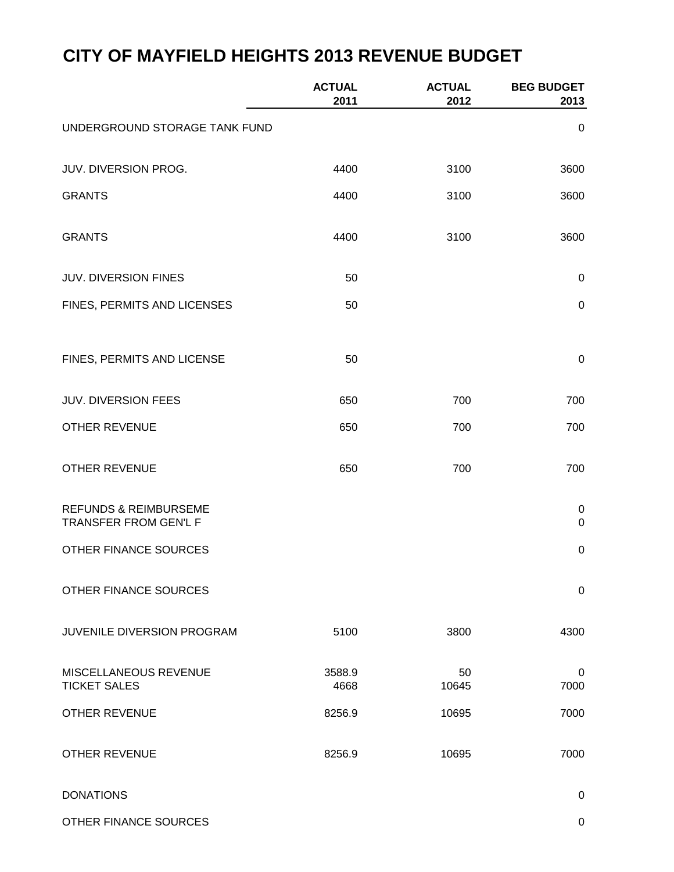|                                                           | <b>ACTUAL</b><br>2011 | <b>ACTUAL</b><br>2012 | <b>BEG BUDGET</b><br>2013 |
|-----------------------------------------------------------|-----------------------|-----------------------|---------------------------|
| UNDERGROUND STORAGE TANK FUND                             |                       |                       | 0                         |
| JUV. DIVERSION PROG.                                      | 4400                  | 3100                  | 3600                      |
| <b>GRANTS</b>                                             | 4400                  | 3100                  | 3600                      |
| <b>GRANTS</b>                                             | 4400                  | 3100                  | 3600                      |
| <b>JUV. DIVERSION FINES</b>                               | 50                    |                       | $\pmb{0}$                 |
| FINES, PERMITS AND LICENSES                               | 50                    |                       | $\pmb{0}$                 |
| FINES, PERMITS AND LICENSE                                | 50                    |                       | $\,0\,$                   |
| <b>JUV. DIVERSION FEES</b>                                | 650                   | 700                   | 700                       |
| <b>OTHER REVENUE</b>                                      | 650                   | 700                   | 700                       |
| <b>OTHER REVENUE</b>                                      | 650                   | 700                   | 700                       |
| <b>REFUNDS &amp; REIMBURSEME</b><br>TRANSFER FROM GEN'L F |                       |                       | 0<br>$\pmb{0}$            |
| OTHER FINANCE SOURCES                                     |                       |                       | $\boldsymbol{0}$          |
| OTHER FINANCE SOURCES                                     |                       |                       | $\boldsymbol{0}$          |
| JUVENILE DIVERSION PROGRAM                                | 5100                  | 3800                  | 4300                      |
| MISCELLANEOUS REVENUE<br><b>TICKET SALES</b>              | 3588.9<br>4668        | 50<br>10645           | 0<br>7000                 |
| <b>OTHER REVENUE</b>                                      | 8256.9                | 10695                 | 7000                      |
| <b>OTHER REVENUE</b>                                      | 8256.9                | 10695                 | 7000                      |

DONATIONS 0

OTHER FINANCE SOURCES ON A SERIES AND THE SOURCES ON A SERIES OF A SERIES OF A SERIES OF A SERIES OF A SERIES OF A SERIES OF A SERIES OF A SERIES OF A SERIES OF A SERIES OF A SERIES OF A SERIES OF A SERIES OF A SERIES OF A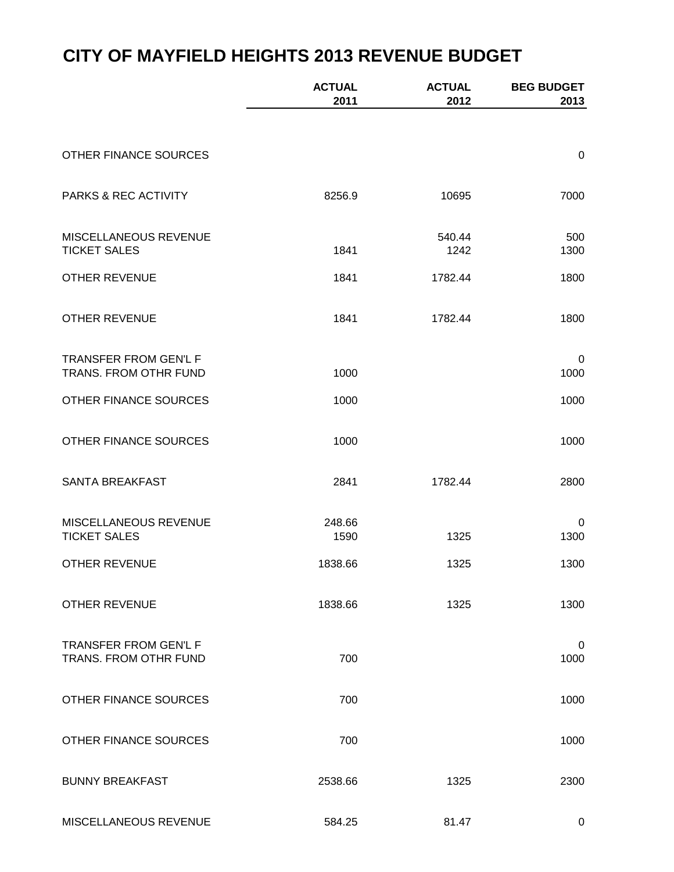|                                                       | <b>ACTUAL</b><br>2011 | <b>ACTUAL</b><br>2012 | <b>BEG BUDGET</b><br>2013 |
|-------------------------------------------------------|-----------------------|-----------------------|---------------------------|
|                                                       |                       |                       |                           |
| OTHER FINANCE SOURCES                                 |                       |                       | $\pmb{0}$                 |
| PARKS & REC ACTIVITY                                  | 8256.9                | 10695                 | 7000                      |
| MISCELLANEOUS REVENUE<br><b>TICKET SALES</b>          | 1841                  | 540.44<br>1242        | 500<br>1300               |
| <b>OTHER REVENUE</b>                                  | 1841                  | 1782.44               | 1800                      |
| <b>OTHER REVENUE</b>                                  | 1841                  | 1782.44               | 1800                      |
| TRANSFER FROM GEN'L F<br>TRANS. FROM OTHR FUND        | 1000                  |                       | 0<br>1000                 |
| OTHER FINANCE SOURCES                                 | 1000                  |                       | 1000                      |
| OTHER FINANCE SOURCES                                 | 1000                  |                       | 1000                      |
| SANTA BREAKFAST                                       | 2841                  | 1782.44               | 2800                      |
| MISCELLANEOUS REVENUE<br><b>TICKET SALES</b>          | 248.66<br>1590        | 1325                  | 0<br>1300                 |
| <b>OTHER REVENUE</b>                                  | 1838.66               | 1325                  | 1300                      |
| <b>OTHER REVENUE</b>                                  | 1838.66               | 1325                  | 1300                      |
| <b>TRANSFER FROM GEN'L F</b><br>TRANS. FROM OTHR FUND | 700                   |                       | 0<br>1000                 |
| <b>OTHER FINANCE SOURCES</b>                          | 700                   |                       | 1000                      |
| OTHER FINANCE SOURCES                                 | 700                   |                       | 1000                      |
| <b>BUNNY BREAKFAST</b>                                | 2538.66               | 1325                  | 2300                      |
| MISCELLANEOUS REVENUE                                 | 584.25                | 81.47                 | 0                         |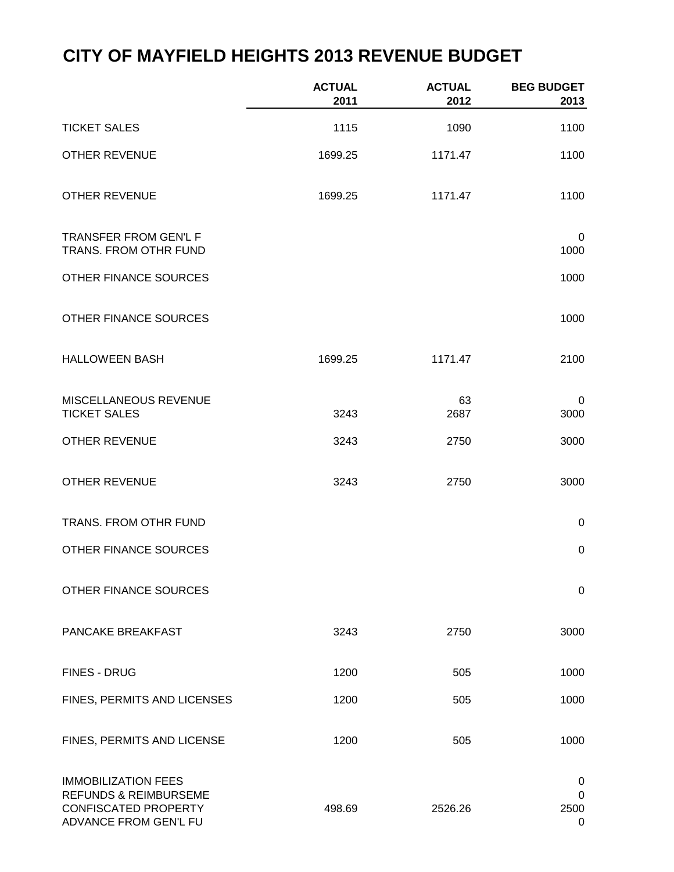|                                                                                                                        | <b>ACTUAL</b><br>2011 | <b>ACTUAL</b><br>2012 | <b>BEG BUDGET</b><br>2013               |
|------------------------------------------------------------------------------------------------------------------------|-----------------------|-----------------------|-----------------------------------------|
| <b>TICKET SALES</b>                                                                                                    | 1115                  | 1090                  | 1100                                    |
| <b>OTHER REVENUE</b>                                                                                                   | 1699.25               | 1171.47               | 1100                                    |
| <b>OTHER REVENUE</b>                                                                                                   | 1699.25               | 1171.47               | 1100                                    |
| <b>TRANSFER FROM GEN'L F</b><br>TRANS. FROM OTHR FUND                                                                  |                       |                       | $\mathbf 0$<br>1000                     |
| OTHER FINANCE SOURCES                                                                                                  |                       |                       | 1000                                    |
| OTHER FINANCE SOURCES                                                                                                  |                       |                       | 1000                                    |
| <b>HALLOWEEN BASH</b>                                                                                                  | 1699.25               | 1171.47               | 2100                                    |
| MISCELLANEOUS REVENUE<br><b>TICKET SALES</b>                                                                           | 3243                  | 63<br>2687            | 0<br>3000                               |
| <b>OTHER REVENUE</b>                                                                                                   | 3243                  | 2750                  | 3000                                    |
| <b>OTHER REVENUE</b>                                                                                                   | 3243                  | 2750                  | 3000                                    |
| TRANS. FROM OTHR FUND                                                                                                  |                       |                       | $\pmb{0}$                               |
| OTHER FINANCE SOURCES                                                                                                  |                       |                       | $\pmb{0}$                               |
| OTHER FINANCE SOURCES                                                                                                  |                       |                       | $\mathbf 0$                             |
| PANCAKE BREAKFAST                                                                                                      | 3243                  | 2750                  | 3000                                    |
| <b>FINES - DRUG</b>                                                                                                    | 1200                  | 505                   | 1000                                    |
| FINES, PERMITS AND LICENSES                                                                                            | 1200                  | 505                   | 1000                                    |
| FINES, PERMITS AND LICENSE                                                                                             | 1200                  | 505                   | 1000                                    |
| <b>IMMOBILIZATION FEES</b><br><b>REFUNDS &amp; REIMBURSEME</b><br><b>CONFISCATED PROPERTY</b><br>ADVANCE FROM GEN'L FU | 498.69                | 2526.26               | 0<br>$\mathbf 0$<br>2500<br>$\mathbf 0$ |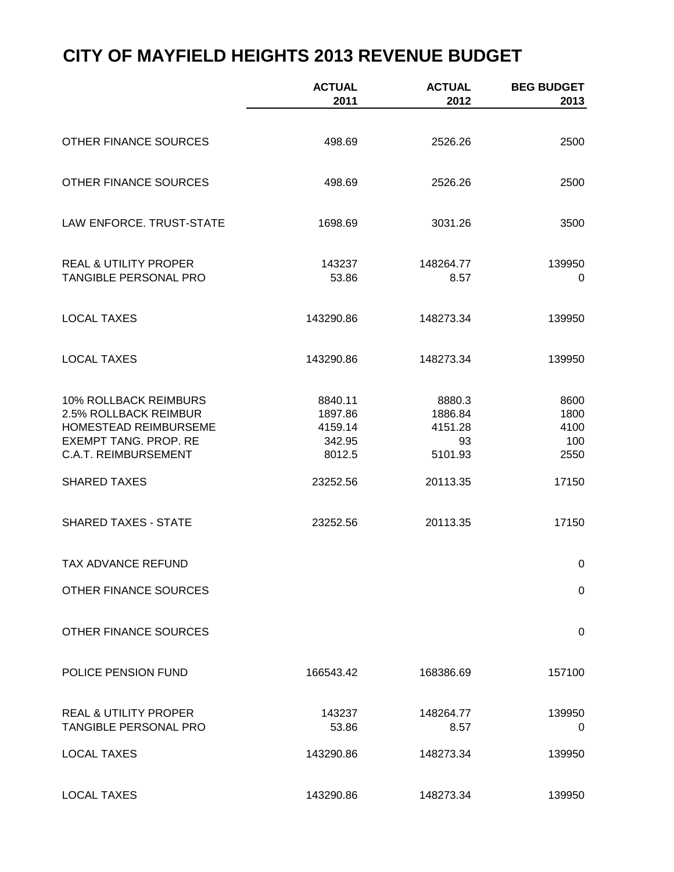|                                                             | <b>ACTUAL</b><br>2011 | <b>ACTUAL</b><br>2012 | <b>BEG BUDGET</b><br>2013 |
|-------------------------------------------------------------|-----------------------|-----------------------|---------------------------|
|                                                             |                       |                       |                           |
| OTHER FINANCE SOURCES                                       | 498.69                | 2526.26               | 2500                      |
| OTHER FINANCE SOURCES                                       | 498.69                | 2526.26               | 2500                      |
| LAW ENFORCE, TRUST-STATE                                    | 1698.69               | 3031.26               | 3500                      |
| <b>REAL &amp; UTILITY PROPER</b>                            | 143237                | 148264.77             | 139950                    |
| <b>TANGIBLE PERSONAL PRO</b>                                | 53.86                 | 8.57                  | 0                         |
| <b>LOCAL TAXES</b>                                          | 143290.86             | 148273.34             | 139950                    |
| <b>LOCAL TAXES</b>                                          | 143290.86             | 148273.34             | 139950                    |
| 10% ROLLBACK REIMBURS                                       | 8840.11               | 8880.3                | 8600                      |
| 2.5% ROLLBACK REIMBUR                                       | 1897.86               | 1886.84               | 1800                      |
| HOMESTEAD REIMBURSEME                                       | 4159.14               | 4151.28               | 4100                      |
| <b>EXEMPT TANG. PROP. RE</b><br><b>C.A.T. REIMBURSEMENT</b> | 342.95<br>8012.5      | 93<br>5101.93         | 100<br>2550               |
|                                                             |                       |                       |                           |
| <b>SHARED TAXES</b>                                         | 23252.56              | 20113.35              | 17150                     |
| <b>SHARED TAXES - STATE</b>                                 | 23252.56              | 20113.35              | 17150                     |
| TAX ADVANCE REFUND                                          |                       |                       | 0                         |
| OTHER FINANCE SOURCES                                       |                       |                       | 0                         |
| OTHER FINANCE SOURCES                                       |                       |                       | 0                         |
| POLICE PENSION FUND                                         | 166543.42             | 168386.69             | 157100                    |
| <b>REAL &amp; UTILITY PROPER</b>                            | 143237                | 148264.77             | 139950                    |
| <b>TANGIBLE PERSONAL PRO</b>                                | 53.86                 | 8.57                  | 0                         |
| <b>LOCAL TAXES</b>                                          | 143290.86             | 148273.34             | 139950                    |
| <b>LOCAL TAXES</b>                                          | 143290.86             | 148273.34             | 139950                    |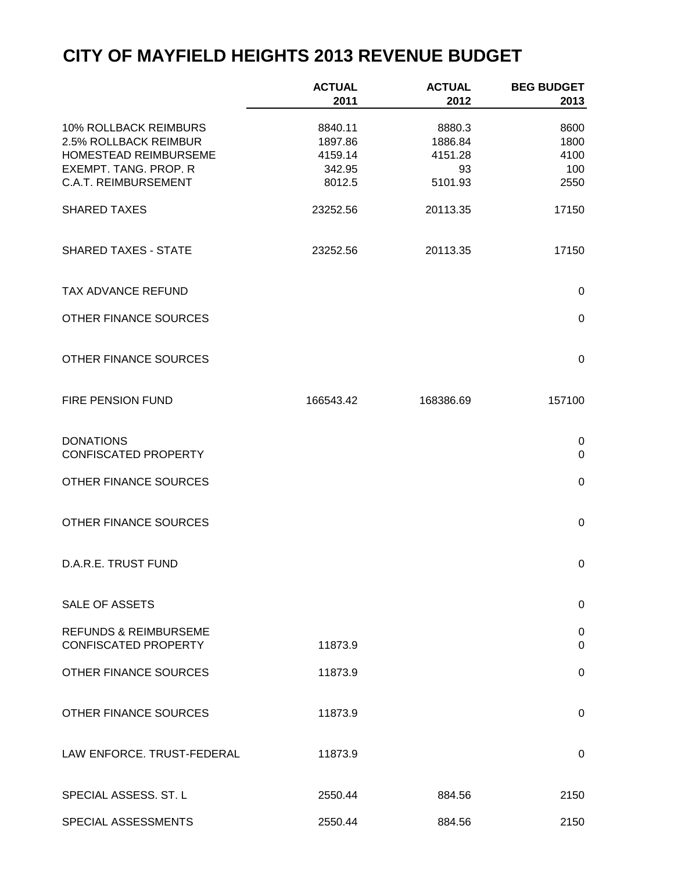|                                                                         | <b>ACTUAL</b><br>2011         | <b>ACTUAL</b><br>2012        | <b>BEG BUDGET</b><br>2013 |
|-------------------------------------------------------------------------|-------------------------------|------------------------------|---------------------------|
| 10% ROLLBACK REIMBURS<br>2.5% ROLLBACK REIMBUR<br>HOMESTEAD REIMBURSEME | 8840.11<br>1897.86<br>4159.14 | 8880.3<br>1886.84<br>4151.28 | 8600<br>1800<br>4100      |
| <b>EXEMPT. TANG. PROP. R</b><br><b>C.A.T. REIMBURSEMENT</b>             | 342.95<br>8012.5              | 93<br>5101.93                | 100<br>2550               |
| <b>SHARED TAXES</b>                                                     | 23252.56                      | 20113.35                     | 17150                     |
| <b>SHARED TAXES - STATE</b>                                             | 23252.56                      | 20113.35                     | 17150                     |
| TAX ADVANCE REFUND                                                      |                               |                              | $\pmb{0}$                 |
| OTHER FINANCE SOURCES                                                   |                               |                              | $\mathbf 0$               |
| OTHER FINANCE SOURCES                                                   |                               |                              | $\mathbf 0$               |
| <b>FIRE PENSION FUND</b>                                                | 166543.42                     | 168386.69                    | 157100                    |
| <b>DONATIONS</b><br><b>CONFISCATED PROPERTY</b>                         |                               |                              | $\pmb{0}$<br>$\mathbf 0$  |
| OTHER FINANCE SOURCES                                                   |                               |                              | $\pmb{0}$                 |
| OTHER FINANCE SOURCES                                                   |                               |                              | $\pmb{0}$                 |
| D.A.R.E. TRUST FUND                                                     |                               |                              | $\pmb{0}$                 |
| <b>SALE OF ASSETS</b>                                                   |                               |                              | 0                         |
| <b>REFUNDS &amp; REIMBURSEME</b><br><b>CONFISCATED PROPERTY</b>         | 11873.9                       |                              | 0<br>$\Omega$             |
| OTHER FINANCE SOURCES                                                   | 11873.9                       |                              | 0                         |
| <b>OTHER FINANCE SOURCES</b>                                            | 11873.9                       |                              | 0                         |
| LAW ENFORCE. TRUST-FEDERAL                                              | 11873.9                       |                              | 0                         |
| SPECIAL ASSESS. ST. L                                                   | 2550.44                       | 884.56                       | 2150                      |
| SPECIAL ASSESSMENTS                                                     | 2550.44                       | 884.56                       | 2150                      |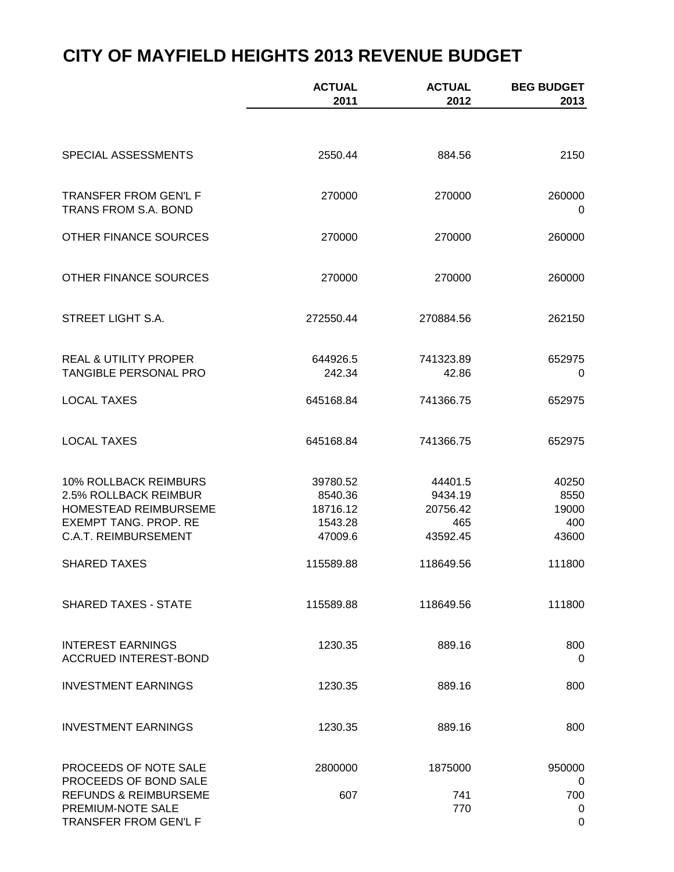|                                                                                                                                        | <b>ACTUAL</b><br>2011                                 | <b>ACTUAL</b><br>2012                             | <b>BEG BUDGET</b><br>2013              |
|----------------------------------------------------------------------------------------------------------------------------------------|-------------------------------------------------------|---------------------------------------------------|----------------------------------------|
|                                                                                                                                        |                                                       |                                                   |                                        |
| SPECIAL ASSESSMENTS                                                                                                                    | 2550.44                                               | 884.56                                            | 2150                                   |
| TRANSFER FROM GEN'L F<br>TRANS FROM S.A. BOND                                                                                          | 270000                                                | 270000                                            | 260000<br>0                            |
| OTHER FINANCE SOURCES                                                                                                                  | 270000                                                | 270000                                            | 260000                                 |
| OTHER FINANCE SOURCES                                                                                                                  | 270000                                                | 270000                                            | 260000                                 |
| <b>STREET LIGHT S.A.</b>                                                                                                               | 272550.44                                             | 270884.56                                         | 262150                                 |
| <b>REAL &amp; UTILITY PROPER</b><br>TANGIBLE PERSONAL PRO                                                                              | 644926.5<br>242.34                                    | 741323.89<br>42.86                                | 652975<br>0                            |
| <b>LOCAL TAXES</b>                                                                                                                     | 645168.84                                             | 741366.75                                         | 652975                                 |
| <b>LOCAL TAXES</b>                                                                                                                     | 645168.84                                             | 741366.75                                         | 652975                                 |
| 10% ROLLBACK REIMBURS<br>2.5% ROLLBACK REIMBUR<br>HOMESTEAD REIMBURSEME<br><b>EXEMPT TANG. PROP. RE</b><br><b>C.A.T. REIMBURSEMENT</b> | 39780.52<br>8540.36<br>18716.12<br>1543.28<br>47009.6 | 44401.5<br>9434.19<br>20756.42<br>465<br>43592.45 | 40250<br>8550<br>19000<br>400<br>43600 |
| <b>SHARED TAXES</b>                                                                                                                    | 115589.88                                             | 118649.56                                         | 111800                                 |
| <b>SHARED TAXES - STATE</b>                                                                                                            | 115589.88                                             | 118649.56                                         | 111800                                 |
| <b>INTEREST EARNINGS</b><br><b>ACCRUED INTEREST-BOND</b>                                                                               | 1230.35                                               | 889.16                                            | 800<br>0                               |
| <b>INVESTMENT EARNINGS</b>                                                                                                             | 1230.35                                               | 889.16                                            | 800                                    |
| <b>INVESTMENT EARNINGS</b>                                                                                                             | 1230.35                                               | 889.16                                            | 800                                    |
| PROCEEDS OF NOTE SALE<br>PROCEEDS OF BOND SALE<br><b>REFUNDS &amp; REIMBURSEME</b><br>PREMIUM-NOTE SALE<br>TRANSFER FROM GEN'L F       | 2800000<br>607                                        | 1875000<br>741<br>770                             | 950000<br>0<br>700<br>0<br>0           |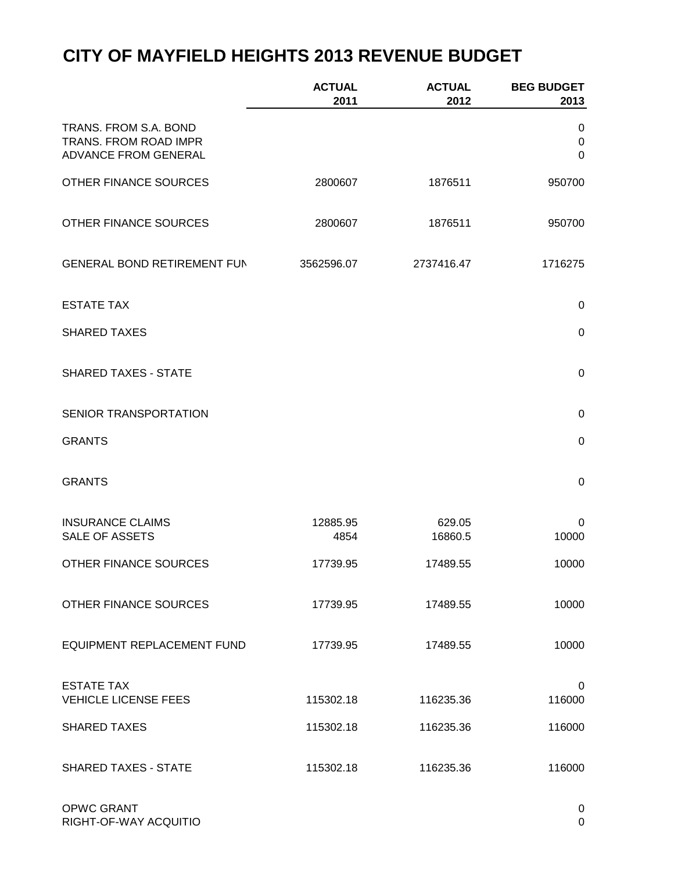|                                                                        | <b>ACTUAL</b><br>2011 | <b>ACTUAL</b><br>2012 | <b>BEG BUDGET</b><br>2013 |
|------------------------------------------------------------------------|-----------------------|-----------------------|---------------------------|
| TRANS. FROM S.A. BOND<br>TRANS. FROM ROAD IMPR<br>ADVANCE FROM GENERAL |                       |                       | 0<br>$\pmb{0}$<br>0       |
| OTHER FINANCE SOURCES                                                  | 2800607               | 1876511               | 950700                    |
| OTHER FINANCE SOURCES                                                  | 2800607               | 1876511               | 950700                    |
| <b>GENERAL BOND RETIREMENT FUN</b>                                     | 3562596.07            | 2737416.47            | 1716275                   |
| <b>ESTATE TAX</b>                                                      |                       |                       | $\pmb{0}$                 |
| <b>SHARED TAXES</b>                                                    |                       |                       | $\boldsymbol{0}$          |
| <b>SHARED TAXES - STATE</b>                                            |                       |                       | $\mathbf 0$               |
| SENIOR TRANSPORTATION                                                  |                       |                       | 0                         |
| <b>GRANTS</b>                                                          |                       |                       | 0                         |
| <b>GRANTS</b>                                                          |                       |                       | $\pmb{0}$                 |
| <b>INSURANCE CLAIMS</b><br><b>SALE OF ASSETS</b>                       | 12885.95<br>4854      | 629.05<br>16860.5     | 0<br>10000                |
| OTHER FINANCE SOURCES                                                  | 17739.95              | 17489.55              | 10000                     |
| OTHER FINANCE SOURCES                                                  | 17739.95              | 17489.55              | 10000                     |
| <b>EQUIPMENT REPLACEMENT FUND</b>                                      | 17739.95              | 17489.55              | 10000                     |
| <b>ESTATE TAX</b><br><b>VEHICLE LICENSE FEES</b>                       | 115302.18             | 116235.36             | 0<br>116000               |
| <b>SHARED TAXES</b>                                                    | 115302.18             | 116235.36             | 116000                    |
| <b>SHARED TAXES - STATE</b>                                            | 115302.18             | 116235.36             | 116000                    |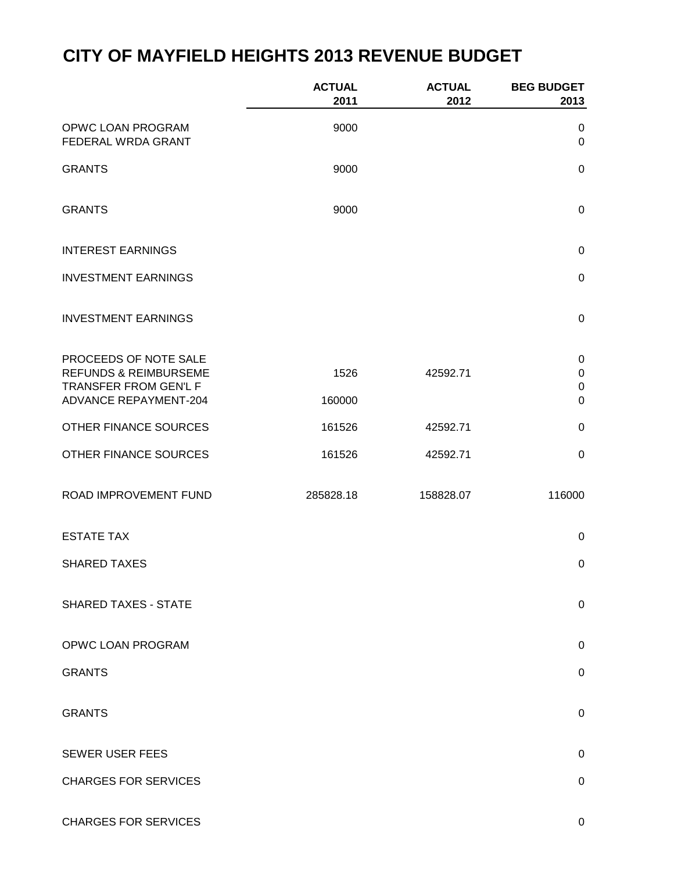|                                                                                                                    | <b>ACTUAL</b><br>2011 | <b>ACTUAL</b><br>2012 | <b>BEG BUDGET</b><br>2013                        |
|--------------------------------------------------------------------------------------------------------------------|-----------------------|-----------------------|--------------------------------------------------|
| OPWC LOAN PROGRAM<br>FEDERAL WRDA GRANT                                                                            | 9000                  |                       | 0<br>$\mathsf 0$                                 |
| <b>GRANTS</b>                                                                                                      | 9000                  |                       | $\mathsf 0$                                      |
| <b>GRANTS</b>                                                                                                      | 9000                  |                       | $\mathsf 0$                                      |
| <b>INTEREST EARNINGS</b>                                                                                           |                       |                       | $\pmb{0}$                                        |
| <b>INVESTMENT EARNINGS</b>                                                                                         |                       |                       | $\pmb{0}$                                        |
| <b>INVESTMENT EARNINGS</b>                                                                                         |                       |                       | $\pmb{0}$                                        |
| PROCEEDS OF NOTE SALE<br><b>REFUNDS &amp; REIMBURSEME</b><br>TRANSFER FROM GEN'L F<br><b>ADVANCE REPAYMENT-204</b> | 1526<br>160000        | 42592.71              | $\pmb{0}$<br>$\pmb{0}$<br>$\pmb{0}$<br>$\pmb{0}$ |
| OTHER FINANCE SOURCES                                                                                              | 161526                | 42592.71              | $\pmb{0}$                                        |
| OTHER FINANCE SOURCES                                                                                              | 161526                | 42592.71              | $\pmb{0}$                                        |
| ROAD IMPROVEMENT FUND                                                                                              | 285828.18             | 158828.07             | 116000                                           |
| <b>ESTATE TAX</b>                                                                                                  |                       |                       | $\pmb{0}$                                        |
| <b>SHARED TAXES</b>                                                                                                |                       |                       | $\boldsymbol{0}$                                 |
| <b>SHARED TAXES - STATE</b>                                                                                        |                       |                       | 0                                                |
| OPWC LOAN PROGRAM                                                                                                  |                       |                       | 0                                                |
| <b>GRANTS</b>                                                                                                      |                       |                       | $\mathbf 0$                                      |
| <b>GRANTS</b>                                                                                                      |                       |                       | $\mathsf 0$                                      |
| <b>SEWER USER FEES</b>                                                                                             |                       |                       | 0                                                |
| <b>CHARGES FOR SERVICES</b>                                                                                        |                       |                       | 0                                                |
|                                                                                                                    |                       |                       |                                                  |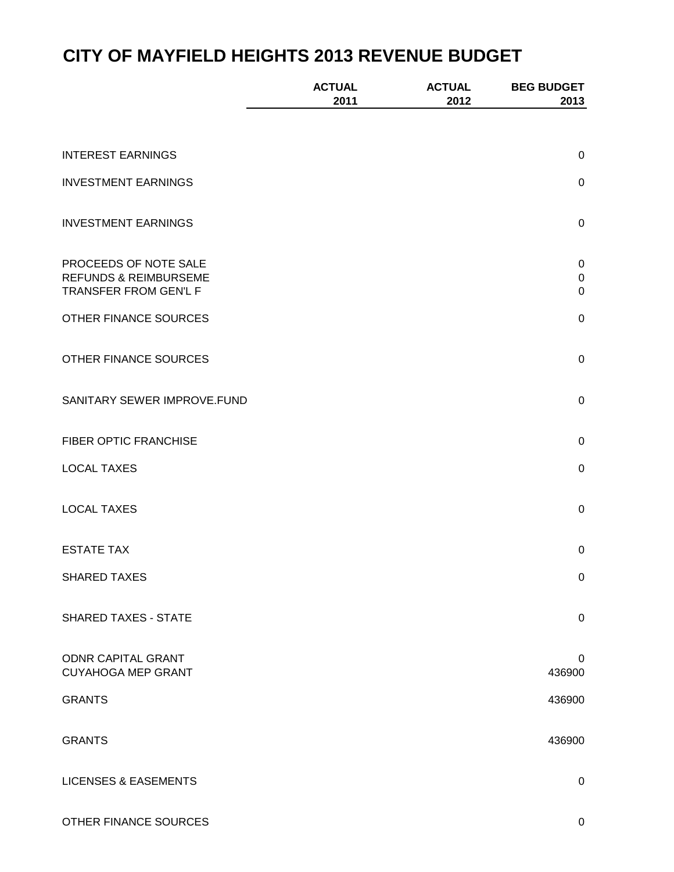|                                                                                    | <b>ACTUAL</b><br>2011 | <b>ACTUAL</b><br>2012 | <b>BEG BUDGET</b><br>2013             |
|------------------------------------------------------------------------------------|-----------------------|-----------------------|---------------------------------------|
|                                                                                    |                       |                       |                                       |
| <b>INTEREST EARNINGS</b>                                                           |                       |                       | $\mathbf 0$                           |
| <b>INVESTMENT EARNINGS</b>                                                         |                       |                       | $\pmb{0}$                             |
| <b>INVESTMENT EARNINGS</b>                                                         |                       |                       | $\pmb{0}$                             |
| PROCEEDS OF NOTE SALE<br><b>REFUNDS &amp; REIMBURSEME</b><br>TRANSFER FROM GEN'L F |                       |                       | $\pmb{0}$<br>$\mathbf 0$<br>$\pmb{0}$ |
| OTHER FINANCE SOURCES                                                              |                       |                       | $\pmb{0}$                             |
| OTHER FINANCE SOURCES                                                              |                       |                       | $\mathbf 0$                           |
| SANITARY SEWER IMPROVE.FUND                                                        |                       |                       | $\pmb{0}$                             |
| FIBER OPTIC FRANCHISE                                                              |                       |                       | $\pmb{0}$                             |
| <b>LOCAL TAXES</b>                                                                 |                       |                       | $\pmb{0}$                             |
| <b>LOCAL TAXES</b>                                                                 |                       |                       | $\pmb{0}$                             |
| <b>ESTATE TAX</b>                                                                  |                       |                       | $\boldsymbol{0}$                      |
| <b>SHARED TAXES</b>                                                                |                       |                       | 0                                     |
| <b>SHARED TAXES - STATE</b>                                                        |                       |                       | $\pmb{0}$                             |
| <b>ODNR CAPITAL GRANT</b><br><b>CUYAHOGA MEP GRANT</b>                             |                       |                       | 0<br>436900                           |
| <b>GRANTS</b>                                                                      |                       |                       | 436900                                |
| <b>GRANTS</b>                                                                      |                       |                       | 436900                                |
| <b>LICENSES &amp; EASEMENTS</b>                                                    |                       |                       | $\pmb{0}$                             |

OTHER FINANCE SOURCES ON A SERIES AND THE SOURCES ON A SERIES OF A SERIES OF A SERIES OF A SERIES OF A SERIES OF A SERIES OF A SERIES OF A SERIES OF A SERIES OF A SERIES OF A SERIES OF A SERIES OF A SERIES OF A SERIES OF A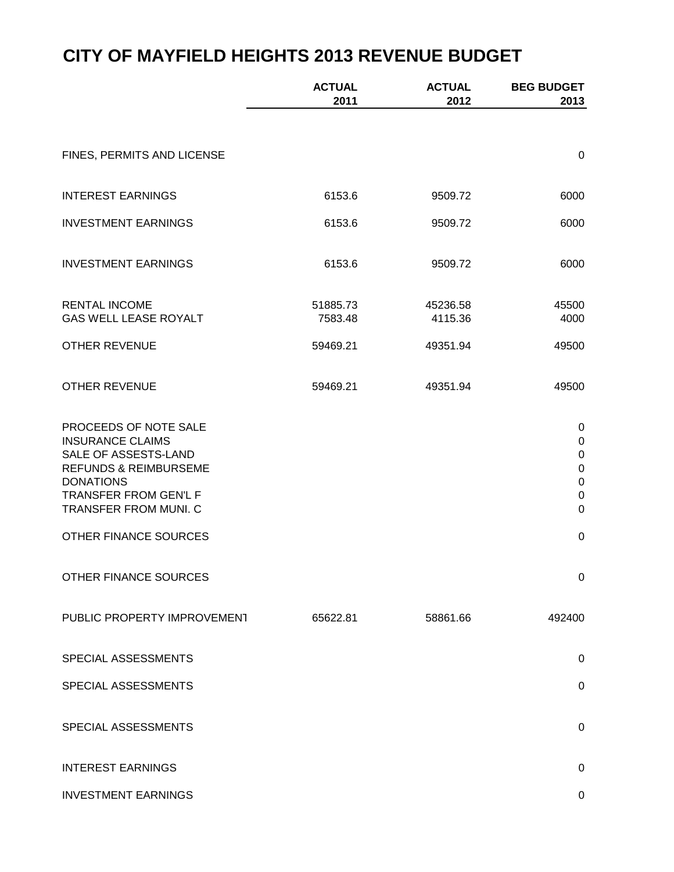|                                                                                                                                                                                    | <b>ACTUAL</b><br>2011 | <b>ACTUAL</b><br>2012 | <b>BEG BUDGET</b><br>2013                                                                             |
|------------------------------------------------------------------------------------------------------------------------------------------------------------------------------------|-----------------------|-----------------------|-------------------------------------------------------------------------------------------------------|
|                                                                                                                                                                                    |                       |                       |                                                                                                       |
| FINES, PERMITS AND LICENSE                                                                                                                                                         |                       |                       | $\mathbf 0$                                                                                           |
| <b>INTEREST EARNINGS</b>                                                                                                                                                           | 6153.6                | 9509.72               | 6000                                                                                                  |
| <b>INVESTMENT EARNINGS</b>                                                                                                                                                         | 6153.6                | 9509.72               | 6000                                                                                                  |
| <b>INVESTMENT EARNINGS</b>                                                                                                                                                         | 6153.6                | 9509.72               | 6000                                                                                                  |
| <b>RENTAL INCOME</b><br><b>GAS WELL LEASE ROYALT</b>                                                                                                                               | 51885.73<br>7583.48   | 45236.58<br>4115.36   | 45500<br>4000                                                                                         |
| <b>OTHER REVENUE</b>                                                                                                                                                               | 59469.21              | 49351.94              | 49500                                                                                                 |
| <b>OTHER REVENUE</b>                                                                                                                                                               | 59469.21              | 49351.94              | 49500                                                                                                 |
| PROCEEDS OF NOTE SALE<br><b>INSURANCE CLAIMS</b><br>SALE OF ASSESTS-LAND<br><b>REFUNDS &amp; REIMBURSEME</b><br><b>DONATIONS</b><br>TRANSFER FROM GEN'L F<br>TRANSFER FROM MUNI. C |                       |                       | $\mathbf 0$<br>$\mathbf 0$<br>$\mathbf 0$<br>$\mathbf 0$<br>$\mathbf 0$<br>$\mathbf 0$<br>$\mathbf 0$ |
| OTHER FINANCE SOURCES                                                                                                                                                              |                       |                       | $\mathbf 0$                                                                                           |
| OTHER FINANCE SOURCES                                                                                                                                                              |                       |                       | 0                                                                                                     |
| PUBLIC PROPERTY IMPROVEMENT                                                                                                                                                        | 65622.81              | 58861.66              | 492400                                                                                                |
| SPECIAL ASSESSMENTS                                                                                                                                                                |                       |                       | $\mathbf 0$                                                                                           |
| SPECIAL ASSESSMENTS                                                                                                                                                                |                       |                       | $\mathbf 0$                                                                                           |
| SPECIAL ASSESSMENTS                                                                                                                                                                |                       |                       | 0                                                                                                     |
| <b>INTEREST EARNINGS</b>                                                                                                                                                           |                       |                       | $\mathbf 0$                                                                                           |
| <b>INVESTMENT EARNINGS</b>                                                                                                                                                         |                       |                       | 0                                                                                                     |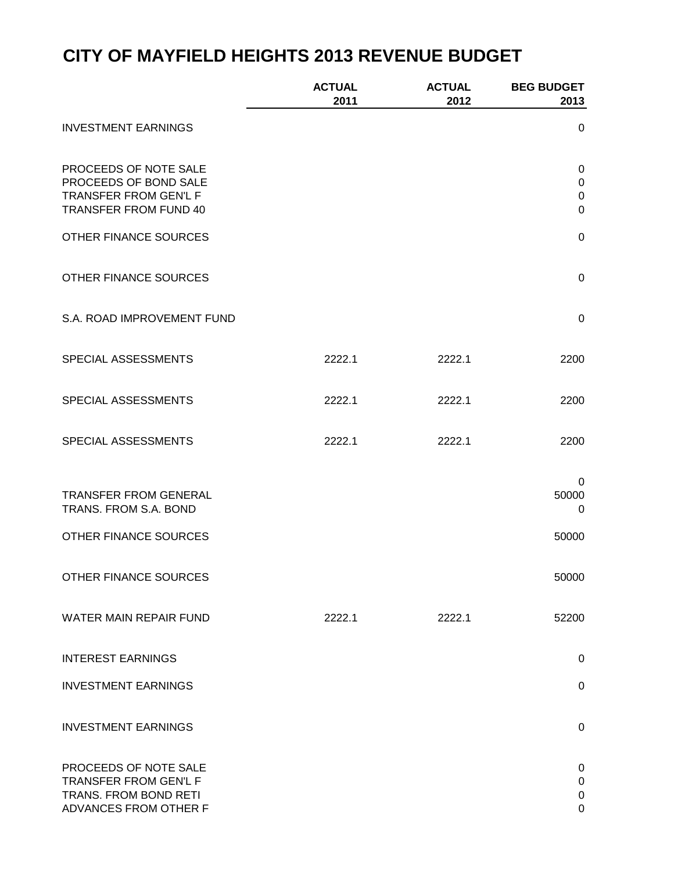|                                                       | <b>ACTUAL</b><br>2011 | <b>ACTUAL</b><br>2012 | <b>BEG BUDGET</b><br>2013 |
|-------------------------------------------------------|-----------------------|-----------------------|---------------------------|
| <b>INVESTMENT EARNINGS</b>                            |                       |                       | 0                         |
| PROCEEDS OF NOTE SALE<br>PROCEEDS OF BOND SALE        |                       |                       | 0<br>$\pmb{0}$            |
| TRANSFER FROM GEN'L F<br>TRANSFER FROM FUND 40        |                       |                       | $\pmb{0}$<br>$\mathbf 0$  |
| OTHER FINANCE SOURCES                                 |                       |                       | $\pmb{0}$                 |
| OTHER FINANCE SOURCES                                 |                       |                       | $\mathbf 0$               |
| S.A. ROAD IMPROVEMENT FUND                            |                       |                       | $\mathbf 0$               |
| SPECIAL ASSESSMENTS                                   | 2222.1                | 2222.1                | 2200                      |
| SPECIAL ASSESSMENTS                                   | 2222.1                | 2222.1                | 2200                      |
| SPECIAL ASSESSMENTS                                   | 2222.1                | 2222.1                | 2200                      |
|                                                       |                       |                       | 0                         |
| <b>TRANSFER FROM GENERAL</b><br>TRANS. FROM S.A. BOND |                       |                       | 50000<br>0                |
| OTHER FINANCE SOURCES                                 |                       |                       | 50000                     |
| OTHER FINANCE SOURCES                                 |                       |                       | 50000                     |
| <b>WATER MAIN REPAIR FUND</b>                         | 2222.1                | 2222.1                | 52200                     |
| <b>INTEREST EARNINGS</b>                              |                       |                       | $\mathbf 0$               |
| <b>INVESTMENT EARNINGS</b>                            |                       |                       | $\mathsf 0$               |
| <b>INVESTMENT EARNINGS</b>                            |                       |                       | $\mathbf 0$               |
| PROCEEDS OF NOTE SALE<br>TRANSFER FROM GEN'L F        |                       |                       | $\mathbf 0$<br>$\pmb{0}$  |
| TRANS. FROM BOND RETI<br>ADVANCES FROM OTHER F        |                       |                       | $\mathbf 0$<br>0          |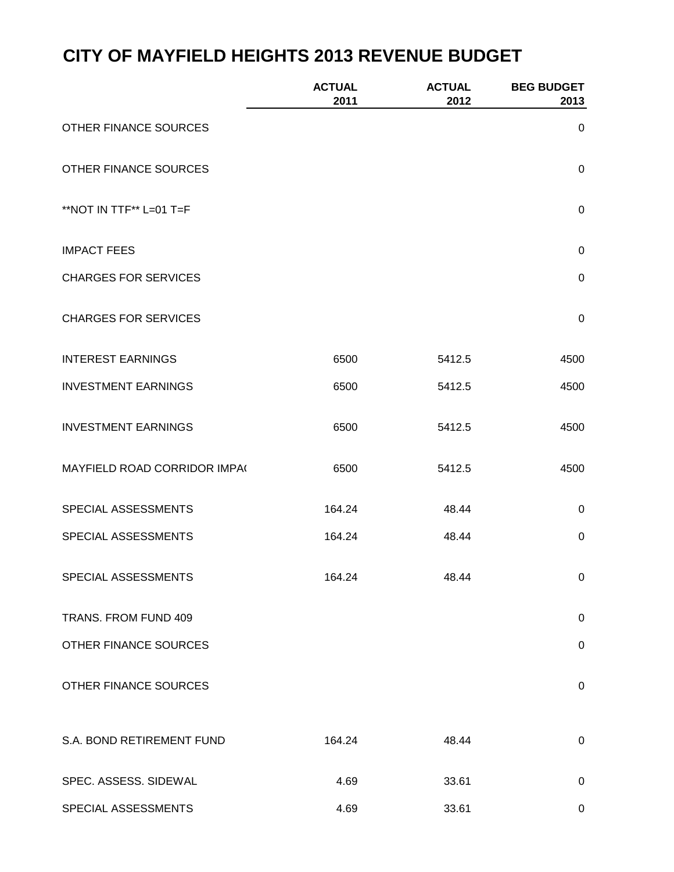|                              | <b>ACTUAL</b><br>2011 | <b>ACTUAL</b><br>2012 | <b>BEG BUDGET</b><br>2013 |
|------------------------------|-----------------------|-----------------------|---------------------------|
| OTHER FINANCE SOURCES        |                       |                       | 0                         |
| OTHER FINANCE SOURCES        |                       |                       | $\mathbf 0$               |
| **NOT IN TTF** L=01 T=F      |                       |                       | $\mathbf 0$               |
| <b>IMPACT FEES</b>           |                       |                       | $\mathbf 0$               |
| <b>CHARGES FOR SERVICES</b>  |                       |                       | $\mathbf 0$               |
| <b>CHARGES FOR SERVICES</b>  |                       |                       | $\mathbf 0$               |
| <b>INTEREST EARNINGS</b>     | 6500                  | 5412.5                | 4500                      |
| <b>INVESTMENT EARNINGS</b>   | 6500                  | 5412.5                | 4500                      |
| <b>INVESTMENT EARNINGS</b>   | 6500                  | 5412.5                | 4500                      |
| MAYFIELD ROAD CORRIDOR IMPA( | 6500                  | 5412.5                | 4500                      |
| SPECIAL ASSESSMENTS          | 164.24                | 48.44                 | $\mathbf 0$               |
| SPECIAL ASSESSMENTS          | 164.24                | 48.44                 | $\mathbf 0$               |
| SPECIAL ASSESSMENTS          | 164.24                | 48.44                 | 0                         |
| TRANS. FROM FUND 409         |                       |                       | $\mathbf 0$               |
| OTHER FINANCE SOURCES        |                       |                       | $\mathsf 0$               |
| OTHER FINANCE SOURCES        |                       |                       | $\pmb{0}$                 |
| S.A. BOND RETIREMENT FUND    | 164.24                | 48.44                 | $\pmb{0}$                 |
| SPEC. ASSESS. SIDEWAL        | 4.69                  | 33.61                 | 0                         |
| SPECIAL ASSESSMENTS          | 4.69                  | 33.61                 | 0                         |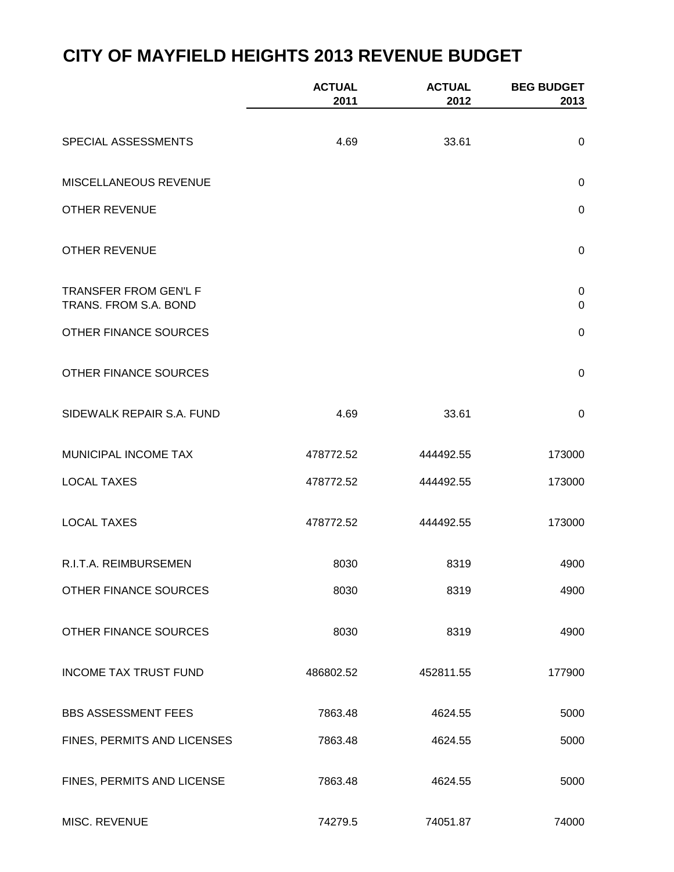|                                                | <b>ACTUAL</b><br>2011 | <b>ACTUAL</b><br>2012 | <b>BEG BUDGET</b><br>2013     |
|------------------------------------------------|-----------------------|-----------------------|-------------------------------|
| SPECIAL ASSESSMENTS                            | 4.69                  | 33.61                 | $\mathbf 0$                   |
| MISCELLANEOUS REVENUE                          |                       |                       | $\mathbf 0$                   |
| <b>OTHER REVENUE</b>                           |                       |                       | $\mathbf 0$                   |
| <b>OTHER REVENUE</b>                           |                       |                       | $\mathbf 0$                   |
| TRANSFER FROM GEN'L F<br>TRANS. FROM S.A. BOND |                       |                       | $\mathbf 0$<br>$\overline{0}$ |
| OTHER FINANCE SOURCES                          |                       |                       | $\mathbf 0$                   |
| OTHER FINANCE SOURCES                          |                       |                       | $\pmb{0}$                     |
| SIDEWALK REPAIR S.A. FUND                      | 4.69                  | 33.61                 | $\mathbf 0$                   |
| MUNICIPAL INCOME TAX                           | 478772.52             | 444492.55             | 173000                        |
| <b>LOCAL TAXES</b>                             | 478772.52             | 444492.55             | 173000                        |
| <b>LOCAL TAXES</b>                             | 478772.52             | 444492.55             | 173000                        |
| R.I.T.A. REIMBURSEMEN                          | 8030                  | 8319                  | 4900                          |
| OTHER FINANCE SOURCES                          | 8030                  | 8319                  | 4900                          |
| OTHER FINANCE SOURCES                          | 8030                  | 8319                  | 4900                          |
| <b>INCOME TAX TRUST FUND</b>                   | 486802.52             | 452811.55             | 177900                        |
| <b>BBS ASSESSMENT FEES</b>                     | 7863.48               | 4624.55               | 5000                          |
| FINES, PERMITS AND LICENSES                    | 7863.48               | 4624.55               | 5000                          |
| FINES, PERMITS AND LICENSE                     | 7863.48               | 4624.55               | 5000                          |
| MISC. REVENUE                                  | 74279.5               | 74051.87              | 74000                         |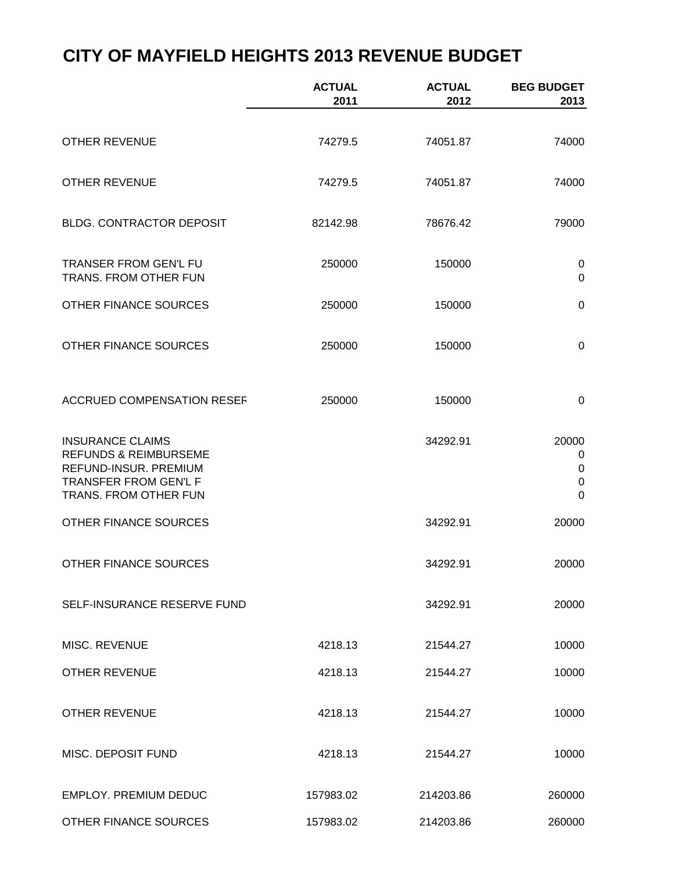|                                                                                                                                        | <b>ACTUAL</b><br>2011 | <b>ACTUAL</b><br>2012 | <b>BEG BUDGET</b><br>2013                                        |
|----------------------------------------------------------------------------------------------------------------------------------------|-----------------------|-----------------------|------------------------------------------------------------------|
| <b>OTHER REVENUE</b>                                                                                                                   | 74279.5               | 74051.87              | 74000                                                            |
| <b>OTHER REVENUE</b>                                                                                                                   | 74279.5               | 74051.87              | 74000                                                            |
| <b>BLDG. CONTRACTOR DEPOSIT</b>                                                                                                        | 82142.98              | 78676.42              | 79000                                                            |
| TRANSER FROM GEN'L FU<br>TRANS. FROM OTHER FUN                                                                                         | 250000                | 150000                | 0<br>$\Omega$                                                    |
| OTHER FINANCE SOURCES                                                                                                                  | 250000                | 150000                | $\mathbf 0$                                                      |
| <b>OTHER FINANCE SOURCES</b>                                                                                                           | 250000                | 150000                | 0                                                                |
| <b>ACCRUED COMPENSATION RESEF</b>                                                                                                      | 250000                | 150000                | 0                                                                |
| <b>INSURANCE CLAIMS</b><br><b>REFUNDS &amp; REIMBURSEME</b><br>REFUND-INSUR. PREMIUM<br>TRANSFER FROM GEN'L F<br>TRANS. FROM OTHER FUN |                       | 34292.91              | 20000<br>$\pmb{0}$<br>$\pmb{0}$<br>$\mathbf 0$<br>$\overline{0}$ |
| OTHER FINANCE SOURCES                                                                                                                  |                       | 34292.91              | 20000                                                            |
| OTHER FINANCE SOURCES                                                                                                                  |                       | 34292.91              | 20000                                                            |
| SELF-INSURANCE RESERVE FUND                                                                                                            |                       | 34292.91              | 20000                                                            |
| MISC. REVENUE                                                                                                                          | 4218.13               | 21544.27              | 10000                                                            |
| <b>OTHER REVENUE</b>                                                                                                                   | 4218.13               | 21544.27              | 10000                                                            |
| <b>OTHER REVENUE</b>                                                                                                                   | 4218.13               | 21544.27              | 10000                                                            |
| MISC. DEPOSIT FUND                                                                                                                     | 4218.13               | 21544.27              | 10000                                                            |
| <b>EMPLOY. PREMIUM DEDUC</b>                                                                                                           | 157983.02             | 214203.86             | 260000                                                           |
| OTHER FINANCE SOURCES                                                                                                                  | 157983.02             | 214203.86             | 260000                                                           |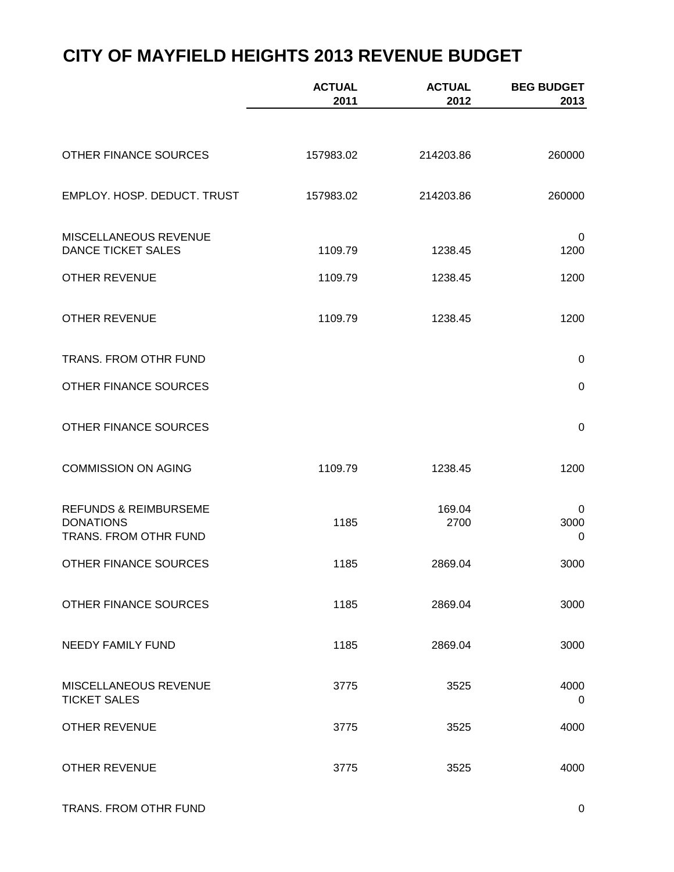|                                                                               | <b>ACTUAL</b><br>2011 | <b>ACTUAL</b><br>2012 | <b>BEG BUDGET</b><br>2013 |
|-------------------------------------------------------------------------------|-----------------------|-----------------------|---------------------------|
|                                                                               |                       |                       |                           |
| OTHER FINANCE SOURCES                                                         | 157983.02             | 214203.86             | 260000                    |
| EMPLOY. HOSP. DEDUCT. TRUST                                                   | 157983.02             | 214203.86             | 260000                    |
| MISCELLANEOUS REVENUE<br><b>DANCE TICKET SALES</b>                            | 1109.79               | 1238.45               | 0<br>1200                 |
| <b>OTHER REVENUE</b>                                                          | 1109.79               | 1238.45               | 1200                      |
| <b>OTHER REVENUE</b>                                                          | 1109.79               | 1238.45               | 1200                      |
| TRANS. FROM OTHR FUND                                                         |                       |                       | $\mathbf 0$               |
| OTHER FINANCE SOURCES                                                         |                       |                       | $\pmb{0}$                 |
| OTHER FINANCE SOURCES                                                         |                       |                       | $\pmb{0}$                 |
| <b>COMMISSION ON AGING</b>                                                    | 1109.79               | 1238.45               | 1200                      |
| <b>REFUNDS &amp; REIMBURSEME</b><br><b>DONATIONS</b><br>TRANS. FROM OTHR FUND | 1185                  | 169.04<br>2700        | 0<br>3000<br>0            |
| OTHER FINANCE SOURCES                                                         | 1185                  | 2869.04               | 3000                      |
| OTHER FINANCE SOURCES                                                         | 1185                  | 2869.04               | 3000                      |
| NEEDY FAMILY FUND                                                             | 1185                  | 2869.04               | 3000                      |
| MISCELLANEOUS REVENUE<br><b>TICKET SALES</b>                                  | 3775                  | 3525                  | 4000<br>0                 |
| <b>OTHER REVENUE</b>                                                          | 3775                  | 3525                  | 4000                      |
| <b>OTHER REVENUE</b>                                                          | 3775                  | 3525                  | 4000                      |